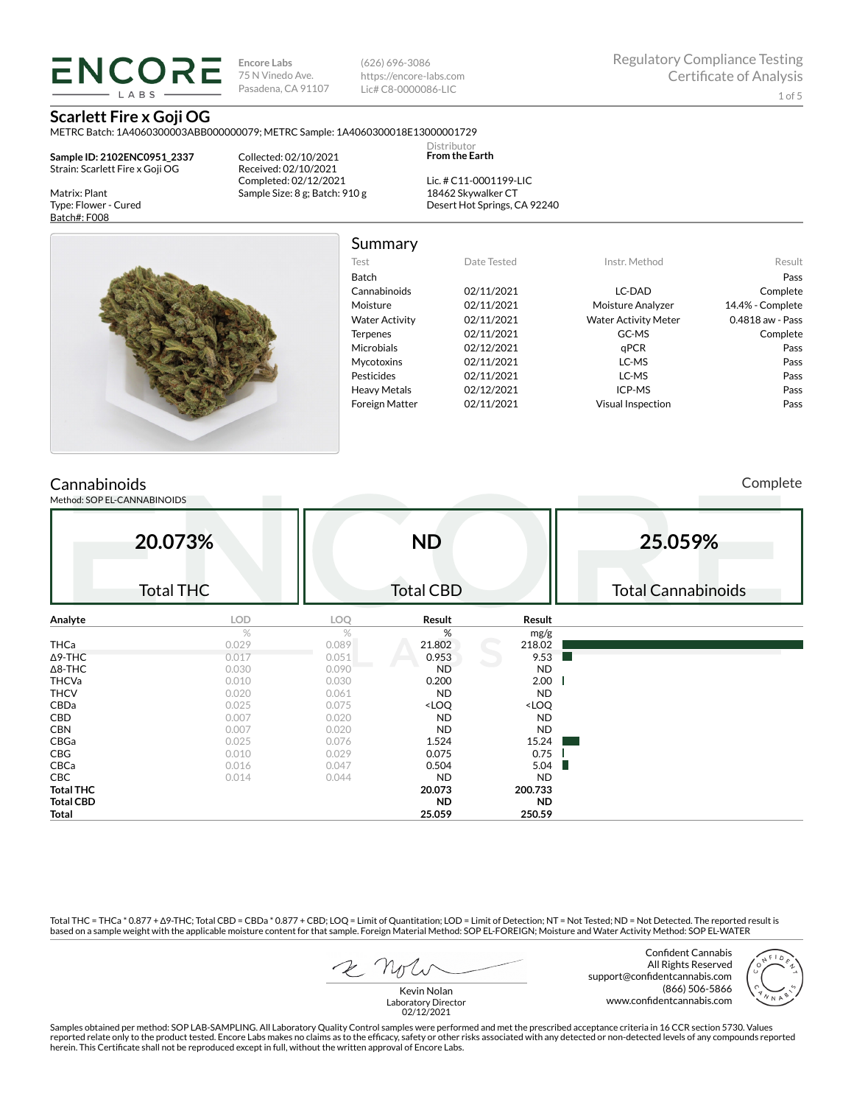ENCORE **IARS** 

**Encore Labs** 75 N Vinedo Ave. Pasadena, CA 91107

(626) 696-3086 https://encore-labs.com Lic# C8-0000086-LIC

Summary

Distributor **From the Earth**

### **Scarlett Fire x Goji OG** METRC Batch: 1A4060300003ABB000000079; METRC Sample: 1A4060300018E13000001729

**Sample ID: 2102ENC0951\_2337** Strain: Scarlett Fire x Goji OG

Matrix: Plant Type: Flower - Cured Batch#: F008

Collected: 02/10/2021 Received: 02/10/2021 Completed: 02/12/2021 Sample Size: 8 g; Batch: 910 g

Lic. # C11-0001199-LIC 18462 Skywalker CT Desert Hot Springs, CA 92240



Test Date Tested Instr. Method Result Batch Pass Cannabinoids 02/11/2021 LC-DAD Complete Moisture 02/11/2021 Moisture Analyzer 14.4% - Complete Water Activity  $02/11/2021$  Water Activity Meter 0.4818 aw - Pass Terpenes 02/11/2021 GC-MS Complete Microbials 02/12/2021 qPCR **pass** Pass Mycotoxins 02/11/2021 LC-MS Pass Pesticides 02/11/2021 LC-MS Pass Heavy Metals 02/12/2021 ICP-MS Pass Foreign Matter 02/11/2021 Visual Inspection Pass

## **Cannabinoids**

Method: SOP EL-CANNABINOIDS

Complete

| 20.073%          |                  | <b>ND</b> |                                                          |                              | 25.059%                   |  |  |
|------------------|------------------|-----------|----------------------------------------------------------|------------------------------|---------------------------|--|--|
|                  | <b>Total THC</b> |           | <b>Total CBD</b>                                         |                              | <b>Total Cannabinoids</b> |  |  |
| Analyte          | LOD              | LOQ       | Result                                                   | Result                       |                           |  |  |
|                  | $\%$             | %         | %                                                        | mg/g                         |                           |  |  |
| THCa             | 0.029            | 0.089     | 21.802                                                   | 218.02                       |                           |  |  |
| $\Delta$ 9-THC   | 0.017            | 0.051     | 0.953                                                    | 9.53                         |                           |  |  |
| $\Delta$ 8-THC   | 0.030            | 0.090     | <b>ND</b>                                                | <b>ND</b>                    |                           |  |  |
| <b>THCVa</b>     | 0.010            | 0.030     | 0.200                                                    | 2.00                         |                           |  |  |
| <b>THCV</b>      | 0.020            | 0.061     | <b>ND</b>                                                | <b>ND</b>                    |                           |  |  |
| CBDa             | 0.025            | 0.075     | <loq< td=""><td><loq< td=""><td></td></loq<></td></loq<> | <loq< td=""><td></td></loq<> |                           |  |  |
| CBD              | 0.007            | 0.020     | <b>ND</b>                                                | <b>ND</b>                    |                           |  |  |
| <b>CBN</b>       | 0.007            | 0.020     | <b>ND</b>                                                | <b>ND</b>                    |                           |  |  |
| CBGa             | 0.025            | 0.076     | 1.524                                                    | 15.24                        |                           |  |  |
| CBG              | 0.010            | 0.029     | 0.075                                                    | 0.75                         |                           |  |  |
| CBCa             | 0.016            | 0.047     | 0.504                                                    | 5.04                         |                           |  |  |
| CBC              | 0.014            | 0.044     | <b>ND</b>                                                | <b>ND</b>                    |                           |  |  |
| <b>Total THC</b> |                  |           | 20.073                                                   | 200.733                      |                           |  |  |
| <b>Total CBD</b> |                  |           | <b>ND</b>                                                | <b>ND</b>                    |                           |  |  |
| Total            |                  |           | 25.059                                                   | 250.59                       |                           |  |  |

Total THC = THCa \* 0.877 + ∆9-THC; Total CBD = CBDa \* 0.877 + CBD; LOQ = Limit of Quantitation; LOD = Limit of Detection; NT = Not Tested; ND = Not Detected. The reported result is based on a sample weight with the applicable moisture content for that sample. Foreign Material Method: SOP EL-FOREIGN; Moisture and Water Activity Method: SOP EL-WATER

Confident Cannabis All Rights Reserved support@confidentcannabis.com (866) 506-5866 www.confidentcannabis.com



Kevin Nolan Laboratory Director 02/12/2021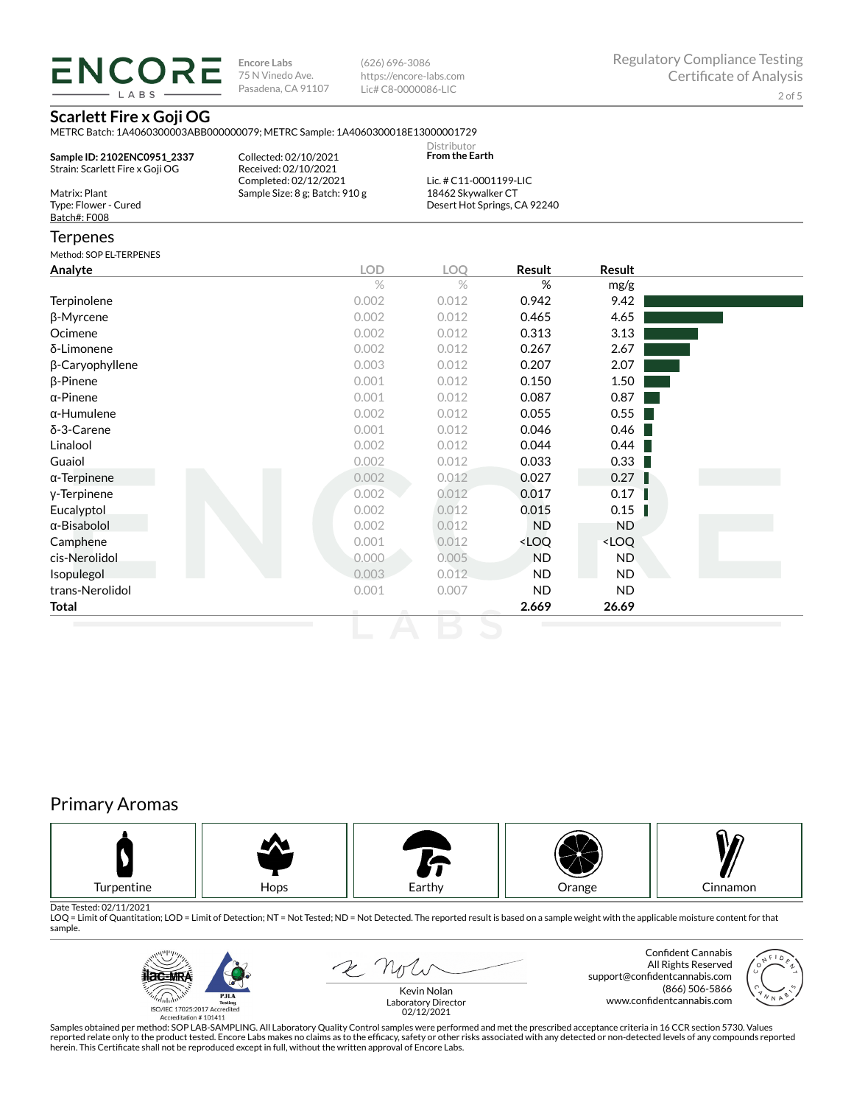LABS

**Encore Labs** 75 N Vinedo Ave. Pasadena, CA 91107

(626) 696-3086 https://encore-labs.com Lic# C8-0000086-LIC

## **Scarlett Fire x Goji OG**

METRC Batch: 1A4060300003ABB000000079; METRC Sample: 1A4060300018E13000001729

| Sample ID: 2102ENC0951 2337<br>Strain: Scarlett Fire x Goji OG | Collected: 02/10/2021<br>Received: 02/10/2021 | Distributor<br><b>From the Earth</b> |  |
|----------------------------------------------------------------|-----------------------------------------------|--------------------------------------|--|
|                                                                | Completed: 02/12/2021                         | Lic. # C11-0001199-LIC               |  |
| Matrix: Plant                                                  | Sample Size: 8 g; Batch: 910 g                | 18462 Skywalker CT                   |  |
| Type: Flower - Cured                                           |                                               | Desert Hot Springs, CA 92240         |  |
| Batch#: F008                                                   |                                               |                                      |  |

### **Terpenes**

 $\overline{\phantom{a}}$  COREL TERRENES

| <b>LOD</b> | LOQ   | Result                                                   | Result                       |  |
|------------|-------|----------------------------------------------------------|------------------------------|--|
| $\%$       | $\%$  | $\%$                                                     | mg/g                         |  |
| 0.002      | 0.012 | 0.942                                                    | 9.42                         |  |
| 0.002      | 0.012 | 0.465                                                    | 4.65                         |  |
| 0.002      | 0.012 | 0.313                                                    | 3.13                         |  |
| 0.002      | 0.012 | 0.267                                                    | 2.67                         |  |
| 0.003      | 0.012 | 0.207                                                    | 2.07                         |  |
| 0.001      | 0.012 | 0.150                                                    | 1.50                         |  |
| 0.001      | 0.012 | 0.087                                                    | 0.87                         |  |
| 0.002      | 0.012 | 0.055                                                    | 0.55                         |  |
| 0.001      | 0.012 | 0.046                                                    | 0.46                         |  |
| 0.002      | 0.012 | 0.044                                                    | 0.44                         |  |
| 0.002      | 0.012 | 0.033                                                    | 0.33                         |  |
| 0.002      | 0.012 | 0.027                                                    | 0.27                         |  |
| 0.002      | 0.012 | 0.017                                                    | 0.17                         |  |
| 0.002      | 0.012 | 0.015                                                    | 0.15                         |  |
| 0.002      | 0.012 | <b>ND</b>                                                | ND.                          |  |
| 0.001      | 0.012 | <loq< td=""><td><loq< td=""><td></td></loq<></td></loq<> | <loq< td=""><td></td></loq<> |  |
| $0.000 -$  | 0.005 | <b>ND</b>                                                | ND.                          |  |
| 0.003      | 0.012 | <b>ND</b>                                                | <b>ND</b>                    |  |
| 0.001      | 0.007 | <b>ND</b>                                                | ND.                          |  |
|            |       | 2.669                                                    | 26.69                        |  |
|            |       |                                                          |                              |  |

# Primary Aromas



Date Tested: 02/11/2021<br>LOQ = Limit of Quantitation; LOD = Limit of Detection; NT = Not Tested; ND = Not Detected. The reported result is based on a sample weight with the applicable moisture content for that sample.



2 Not

Confident Cannabis All Rights Reserved support@confidentcannabis.com (866) 506-5866



www.confidentcannabis.com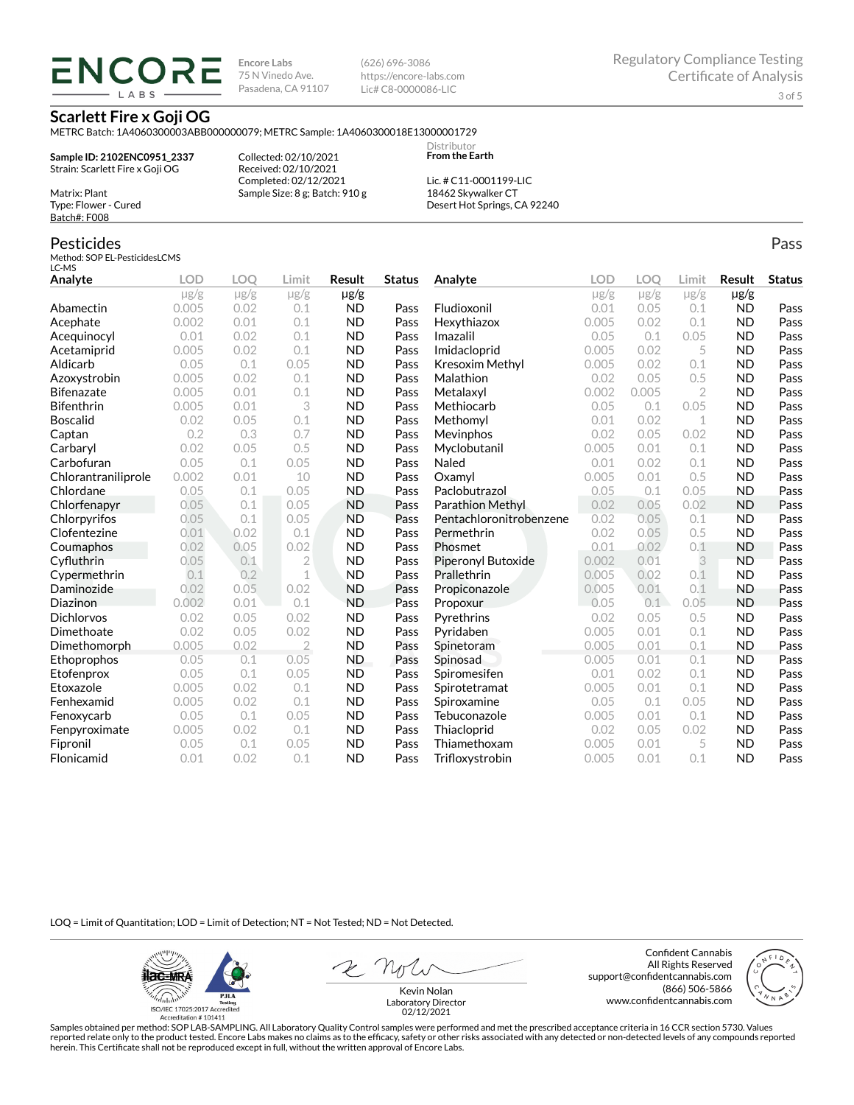**ENCORE IARS** 

**Encore Labs** 75 N Vinedo Ave. Pasadena, CA 91107 (626) 696-3086 https://encore-labs.com Lic# C8-0000086-LIC

> **Distributor From the Earth**

**Scarlett Fire x Goji OG**

METRC Batch: 1A4060300003ABB000000079; METRC Sample: 1A4060300018E13000001729

**Sample ID: 2102ENC0951\_2337** Strain: Scarlett Fire x Goji OG

Matrix: Plant Type: Flower - Cured Batch#: F008

Pesticides

Collected: 02/10/2021 Received: 02/10/2021 Completed: 02/12/2021 Sample Size: 8 g; Batch: 910 g

Lic. # C11-0001199-LIC 18462 Skywalker CT Desert Hot Springs, CA 92240

#### Method: SOP EL-PesticidesLCMS LC-MS **Analyte LOD LOQ Limit Result Status**  $\mu$ g/g  $\mu$ g/g  $\mu$ g/g  $\mu$ g/g Abamectin 0.005 0.02 0.1 ND Pass Acephate 0.002 0.01 0.1 ND Pass Acequinocyl 0.01 0.02 0.1 ND Pass Acetamiprid 0.005 0.02 0.1 ND Pass Aldicarb 0.05 0.1 0.05 ND Pass Azoxystrobin 0.005 0.02 0.1 ND Pass Bifenazate 0.005 0.01 0.1 ND Pass Bifenthrin 0.005 0.01 3 ND Pass Boscalid 0.02 0.05 0.1 ND Pass **Captan 12 0.2 0.3 0.7 ND Pass Carbaryl 0.02 0.05 0.5 ND Pass** Carbofuran 0.05 0.1 0.05 ND Pass Chlorantraniliprole 0.002 0.01 10 ND Pass Chlordane 0.05 0.1 0.05 ND Pass Chlorfenapyr 0.05 0.1 0.05 ND Pass Chlorpyrifos 0.05 0.1 0.05 ND Pass Clofentezine 0.01 0.02 0.1 ND Pass Coumaphos 0.02 0.05 0.02 ND Pass Cyfluthrin 0.05 0.1 2 ND Pass Cypermethrin 0.1 0.2 1 ND Pass Daminozide 0.02 0.05 0.02 ND Pass **Diazinon** 0.002 0.01 0.1 ND Pass Dichlorvos 0.02 0.05 0.02 ND Pass Dimethoate 0.02 0.05 0.02 ND Pass Dimethomorph 0.005 0.02 2 ND Pass Ethoprophos 0.05 0.1 0.05 ND Pass Etofenprox 0.05 0.1 0.05 ND Pass Etoxazole 0.005 0.02 0.1 ND Pass Fenhexamid 0.005 0.02 0.1 ND Pass Fenoxycarb 0.05 0.1 0.05 ND Pass Fenpyroximate 0.005 0.02 0.1 ND Pass Fipronil 0.05 0.1 0.05 ND Pass Flonicamid 0.01 0.02 0.1 ND Pass **Analyte LOD LOQ Limit Result Status**  $\mu$ g/g  $\mu$ g/g  $\mu$ g/g  $\mu$ g/g Fludioxonil 0.01 0.05 0.1 ND Pass Hexythiazox 0.005 0.02 0.1 ND Pass **Imazalil 11 0.05 0.1 0.05 ND Pass** Imidacloprid 0.005 0.02 5 ND Pass Kresoxim Methyl  $0.005$  0.02 0.1 ND Pass **Malathion** 0.02 0.05 0.5 **ND Pass** Metalaxyl 0.002 0.005 2 ND Pass Methiocarb 0.05 0.1 0.05 ND Pass **Methomyl** 0.01 0.02 1 **ND Pass** Mevinphos 0.02 0.05 0.02 ND Pass Myclobutanil 0.005 0.01 0.1 ND Pass **Naled 1200 0.01 0.02 0.1 ND Pass Oxamyl** 0.005 0.01 0.5 **ND Pass** Paclobutrazol 0.05 0.1 0.05 ND Pass Parathion Methyl 0.02 0.05 0.02 ND Pass Pentachloronitrobenzene 0.02 0.05 0.1 ND Pass Permethrin 0.02 0.05 0.5 ND Pass **Phosmet** 0.01 0.02 0.1 **ND Pass** Piperonyl Butoxide 0.002 0.01 3 ND Pass Prallethrin 0.005 0.02 0.1 ND Pass Propiconazole 0.005 0.01 0.1 ND Pass **Propoxur 1988 0.05 0.1 0.05 ND Pass** Pyrethrins 0.02 0.05 0.5 ND Pass **Pyridaben 1988 0.005 0.01 0.1 ND Pass Spinetoram 0.005 0.01 0.1 ND Pass** Spinosad 0.005 0.01 0.1 ND Pass Spiromesifen 0.01 0.02 0.1 ND Pass Spirotetramat 0.005 0.01 0.1 ND Pass Spiroxamine 0.05 0.1 0.05 ND Pass Tebuconazole 0.005 0.01 0.1 ND Pass Thiacloprid 0.02 0.05 0.02 ND Pass Thiamethoxam 0.005 0.01 5 ND Pass Trifloxystrobin 0.005 0.01 0.1 ND Pass

LOQ = Limit of Quantitation; LOD = Limit of Detection; NT = Not Tested; ND = Not Detected.

**ilac-MRA P.ILA** أيطيبك ISO/IEC 17025:2017 Ac

Accreditation #101411

2 Not

Confident Cannabis All Rights Reserved support@confidentcannabis.com (866) 506-5866 www.confidentcannabis.com



Kevin Nolan Laboratory Director 02/12/2021

Samples obtained per method: SOP LAB-SAMPLING. All Laboratory Quality Control samples were performed and met the prescribed acceptance criteria in 16 CCR section 5730. Values reported relate only to the product tested. Encore Labs makes no claims as to the efficacy, safety or other risks associated with any detected or non-detected levels of any compounds reported herein. This Certificate shall not be reproduced except in full, without the written approval of Encore Labs.

Pass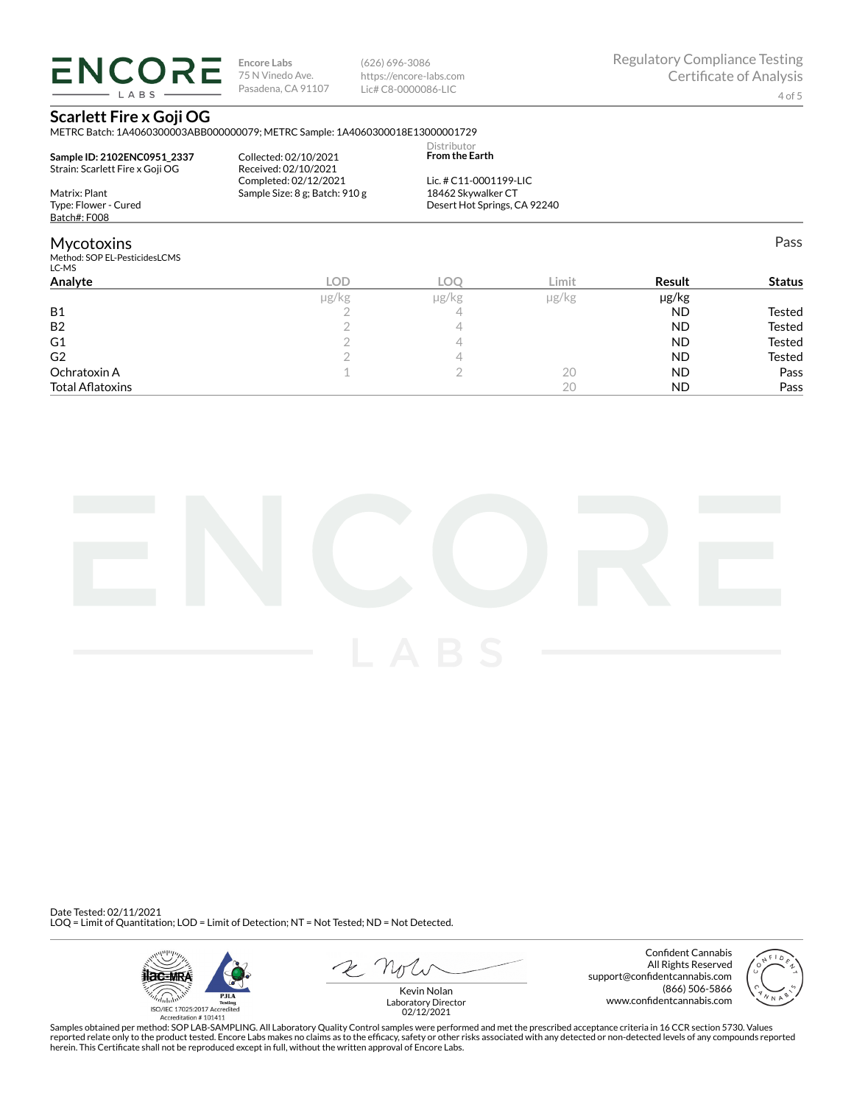**ENCORE** LABS

**Encore Labs** 75 N Vinedo Ave. Pasadena, CA 91107 (626) 696-3086 https://encore-labs.com Lic# C8-0000086-LIC

Distributor

Pass

## **Scarlett Fire x Goji OG**

METRC Batch: 1A4060300003ABB000000079; METRC Sample: 1A4060300018E13000001729

| Sample ID: 2102ENC0951 2337<br>Strain: Scarlett Fire x Goji OG | Collected: 02/10/2021<br>Received: 02/10/2021 | <b>From the Earth</b>        |  |
|----------------------------------------------------------------|-----------------------------------------------|------------------------------|--|
|                                                                | Completed: 02/12/2021                         | Lic. # C11-0001199-LIC       |  |
| Matrix: Plant                                                  | Sample Size: 8 g: Batch: 910 g                | 18462 Skywalker CT           |  |
| Type: Flower - Cured                                           |                                               | Desert Hot Springs, CA 92240 |  |
| Batch#: F008                                                   |                                               |                              |  |

## Mycotoxins

Method: SOP EL-PesticidesLCMS LC-MS

| LC-MS                   |       |       |            |           |               |
|-------------------------|-------|-------|------------|-----------|---------------|
| Analyte                 | LOD   | LOC   | Limit      | Result    | <b>Status</b> |
|                         | µg/kg | µg/kg | $\mu$ g/kg | µg/kg     |               |
| <b>B1</b>               |       | ∸     |            | <b>ND</b> | Tested        |
| B <sub>2</sub>          |       |       |            | <b>ND</b> | Tested        |
| G <sub>1</sub>          |       |       |            | <b>ND</b> | Tested        |
| G <sub>2</sub>          |       |       |            | <b>ND</b> | Tested        |
| Ochratoxin A            |       |       | 20         | <b>ND</b> | Pass          |
| <b>Total Aflatoxins</b> |       |       | 20         | <b>ND</b> | Pass          |
|                         |       |       |            |           |               |



Date Tested: 02/11/2021 LOQ = Limit of Quantitation; LOD = Limit of Detection; NT = Not Tested; ND = Not Detected.



Confident Cannabis All Rights Reserved support@confidentcannabis.com (866) 506-5866 www.confidentcannabis.com



Kevin Nolan Laboratory Director 02/12/2021